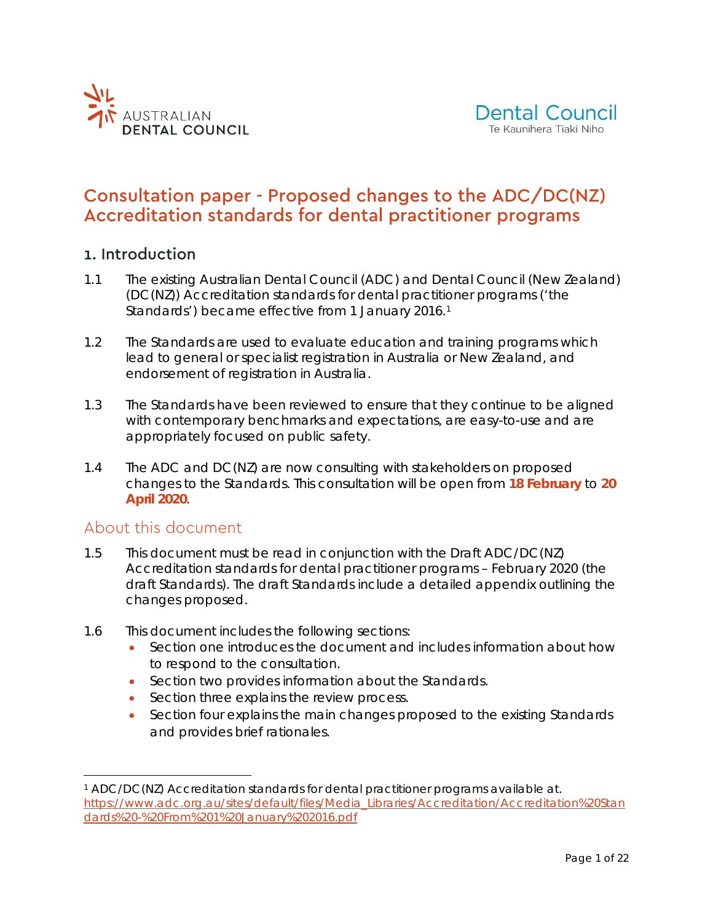



# Consultation paper - Proposed changes to the ADC/DC(NZ) Accreditation standards for dental practitioner programs

### 1. Introduction

- 1.1 The existing *Australian Dental Council (ADC) and Dental Council (New Zealand) (DC(NZ)) Accreditation standards for dental practitioner programs* ('the Standards') became effective from [1](#page-0-0) January 2016.<sup>1</sup>
- 1.2 The Standards are used to evaluate education and training programs which lead to general or specialist registration in Australia or New Zealand, and endorsement of registration in Australia.
- 1.3 The Standards have been reviewed to ensure that they continue to be aligned with contemporary benchmarks and expectations, are easy-to-use and are appropriately focused on public safety.
- 1.4 The ADC and DC(NZ) are now consulting with stakeholders on proposed changes to the Standards. This consultation will be open from **18 February** to **20 April 2020**.

### About this document

- 1.5 This document must be read in conjunction with the *Draft ADC/DC(NZ) Accreditation standards for dental practitioner programs – February 2020* (the draft Standards). The draft Standards include a detailed appendix outlining the changes proposed.
- 1.6 This document includes the following sections:
	- Section one introduces the document and includes information about how to respond to the consultation.
	- Section two provides information about the Standards.
	- Section three explains the review process.
	- Section four explains the main changes proposed to the existing Standards and provides brief rationales.

<span id="page-0-0"></span> <sup>1</sup> ADC/DC(NZ) Accreditation standards for dental practitioner programs available at. [https://www.adc.org.au/sites/default/files/Media\\_Libraries/Accreditation/Accreditation%20Stan](https://www.adc.org.au/sites/default/files/Media_Libraries/Accreditation/Accreditation%20Standards%20-%20From%201%20January%202016.pdf) [dards%20-%20From%201%20January%202016.pdf](https://www.adc.org.au/sites/default/files/Media_Libraries/Accreditation/Accreditation%20Standards%20-%20From%201%20January%202016.pdf)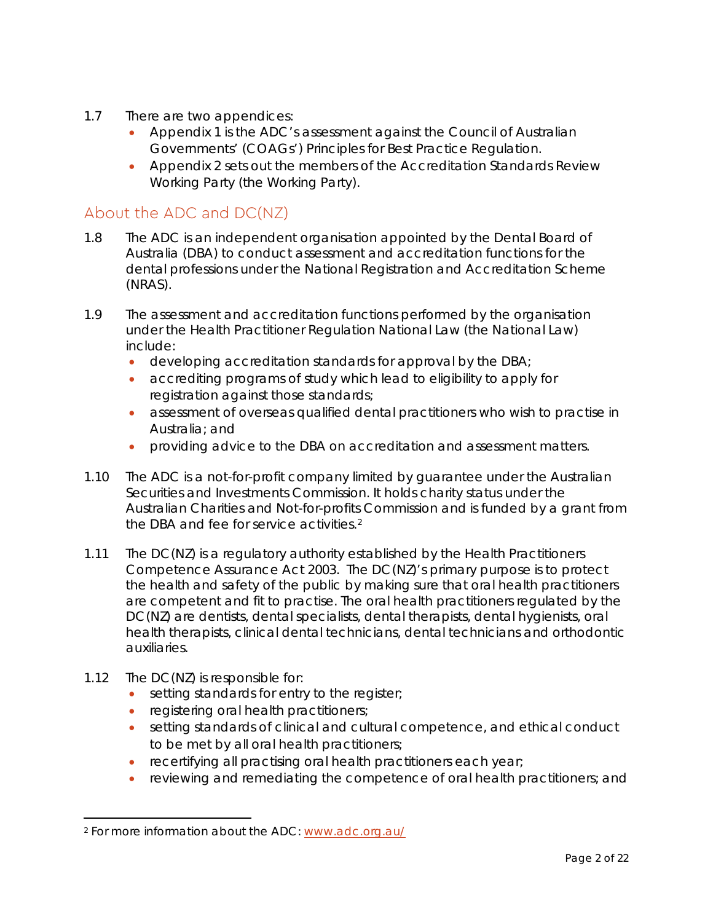- 1.7 There are two appendices:
	- Appendix 1 is the ADC's assessment against the *Council of Australian Governments' (COAGs') Principles for Best Practice Regulation*.
	- Appendix 2 sets out the members of the Accreditation Standards Review Working Party (the Working Party).

# About the ADC and DC(NZ)

- 1.8 The ADC is an independent organisation appointed by the Dental Board of Australia (DBA) to conduct assessment and accreditation functions for the dental professions under the National Registration and Accreditation Scheme (NRAS).
- 1.9 The assessment and accreditation functions performed by the organisation under the Health Practitioner Regulation National Law (the National Law) include:
	- developing accreditation standards for approval by the DBA;
	- accrediting programs of study which lead to eligibility to apply for registration against those standards;
	- assessment of overseas qualified dental practitioners who wish to practise in Australia; and
	- providing advice to the DBA on accreditation and assessment matters.
- 1.10 The ADC is a not-for-profit company limited by guarantee under the Australian Securities and Investments Commission. It holds charity status under the Australian Charities and Not-for-profits Commission and is funded by a grant from the DBA and fee for service activities.[2](#page-1-0)
- 1.11 The DC(NZ) is a regulatory authority established by the *Health Practitioners Competence Assurance Act* 2003. The DC(NZ)'s primary purpose is to protect the health and safety of the public by making sure that oral health practitioners are competent and fit to practise. The oral health practitioners regulated by the DC(NZ) are dentists, dental specialists, dental therapists, dental hygienists, oral health therapists, clinical dental technicians, dental technicians and orthodontic auxiliaries.
- 1.12 The DC(NZ) is responsible for:
	- setting standards for entry to the register;
	- registering oral health practitioners;
	- setting standards of clinical and cultural competence, and ethical conduct to be met by all oral health practitioners;
	- recertifying all practising oral health practitioners each year;
	- reviewing and remediating the competence of oral health practitioners; and

<span id="page-1-0"></span> <sup>2</sup> For more information about the ADC: [www.adc.org.au/](http://www.adc.org.au/)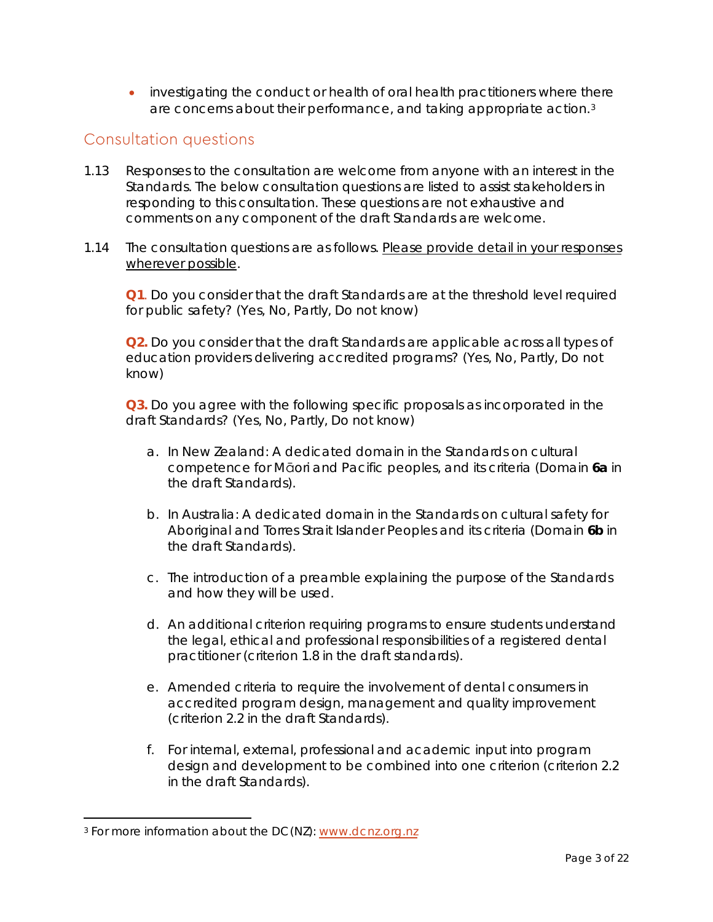• investigating the conduct or health of oral health practitioners where there are concerns about their performance, and taking appropriate action.[3](#page-2-0)

# Consultation questions

- 1.13 Responses to the consultation are welcome from anyone with an interest in the Standards. The below consultation questions are listed to assist stakeholders in responding to this consultation. These questions are not exhaustive and comments on any component of the draft Standards are welcome.
- 1.14 The consultation questions are as follows. Please provide detail in your responses wherever possible.

**Q1**. Do you consider that the draft Standards are at the threshold level required for public safety? (Yes, No, Partly, Do not know)

**Q2.** Do you consider that the draft Standards are applicable across all types of education providers delivering accredited programs? (Yes, No, Partly, Do not know)

**Q3.** Do you agree with the following specific proposals as incorporated in the draft Standards? (Yes, No, Partly, Do not know)

- a. In New Zealand: A dedicated domain in the Standards on cultural competence for Māori and Pacific peoples, and its criteria (Domain **6a** in the draft Standards).
- b. In Australia: A dedicated domain in the Standards on cultural safety for Aboriginal and Torres Strait Islander Peoples and its criteria (Domain **6b** in the draft Standards).
- c. The introduction of a preamble explaining the purpose of the Standards and how they will be used.
- d. An additional criterion requiring programs to ensure students understand the legal, ethical and professional responsibilities of a registered dental practitioner (criterion 1.8 in the draft standards).
- e. Amended criteria to require the involvement of dental consumers in accredited program design, management and quality improvement (criterion 2.2 in the draft Standards).
- f. For internal, external, professional and academic input into program design and development to be combined into one criterion (criterion 2.2 in the draft Standards).

<span id="page-2-0"></span><sup>3</sup> For more information about the DC(NZ): [www.dcnz.org.nz](https://www.dcnz.org.nz/)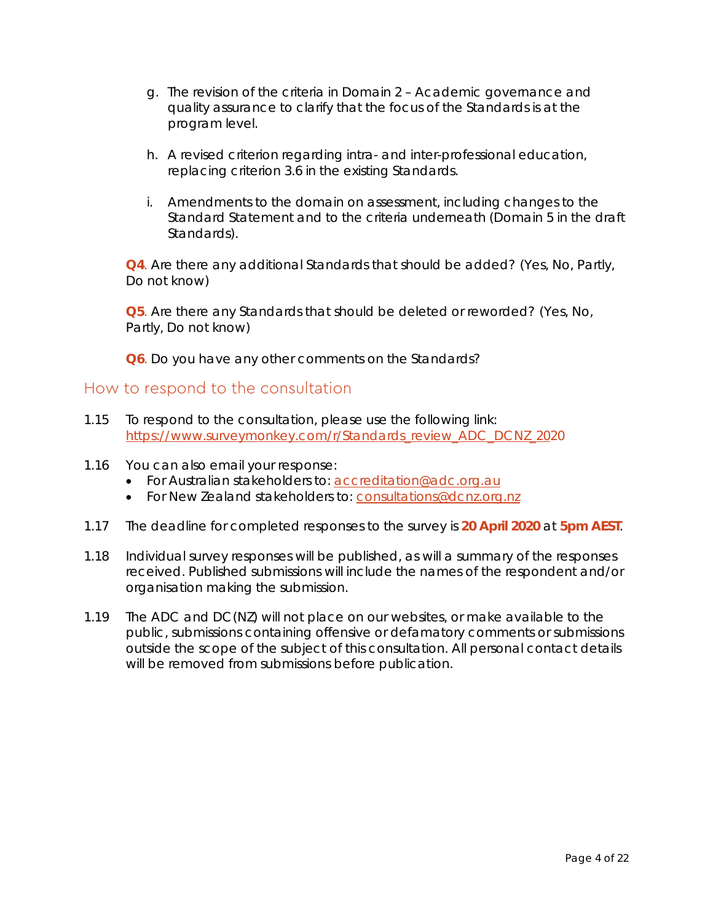- g. The revision of the criteria in Domain 2 Academic governance and quality assurance to clarify that the focus of the Standards is at the program level.
- h. A revised criterion regarding intra- and inter-professional education, replacing criterion 3.6 in the existing Standards.
- i. Amendments to the domain on assessment, including changes to the Standard Statement and to the criteria underneath (Domain 5 in the draft Standards).

**Q4**. Are there any additional Standards that should be added? (Yes, No, Partly, Do not know)

**Q5**. Are there any Standards that should be deleted or reworded? (Yes, No, Partly, Do not know)

**Q6**. Do you have any other comments on the Standards?

#### How to respond to the consultation

- 1.15 To respond to the consultation, please use the following link: https://www.surveymonkey.com/r/Standards\_review\_ADC\_DCNZ\_2020
- 1.16 You can also email your response:
	- For Australian stakeholders to: [accreditation@adc.org.au](mailto:accreditation@adc.org.au)
	- For New Zealand stakeholders to: [consultations@dcnz.org.nz](mailto:consultations@dcnz.org.nz)
- 1.17 The deadline for completed responses to the survey is **20 April 2020** at **5pm AEST**.
- 1.18 Individual survey responses will be published, as will a summary of the responses received. Published submissions will include the names of the respondent and/or organisation making the submission.
- 1.19 The ADC and DC(NZ) will not place on our websites, or make available to the public, submissions containing offensive or defamatory comments or submissions outside the scope of the subject of this consultation. All personal contact details will be removed from submissions before publication.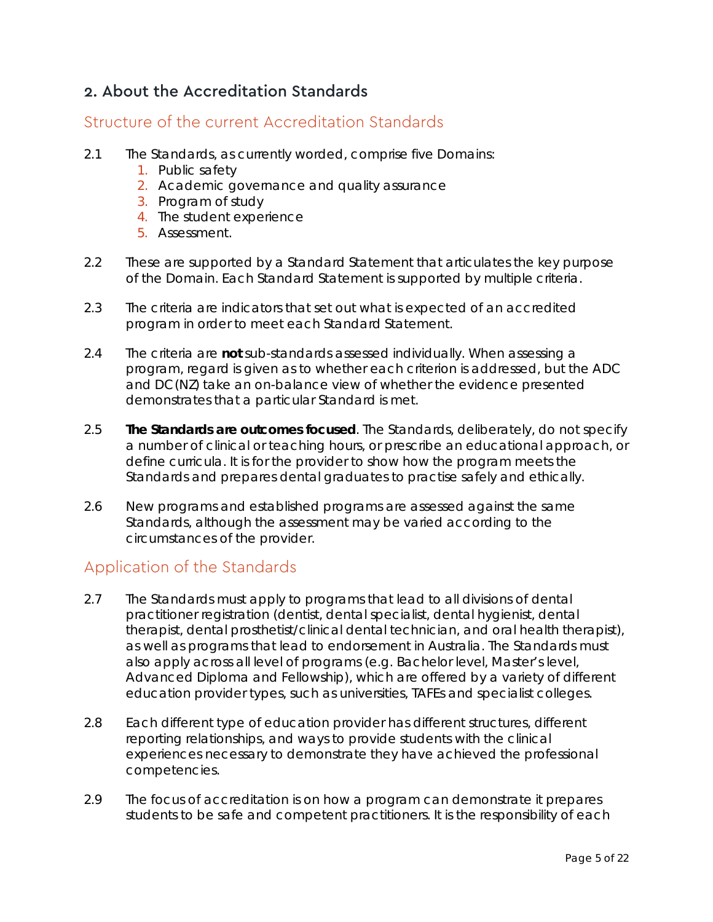# 2. About the Accreditation Standards

## Structure of the current Accreditation Standards

- 2.1 The Standards, as currently worded, comprise five Domains:
	- 1. Public safety
	- 2. Academic governance and quality assurance
	- 3. Program of study
	- 4. The student experience
	- 5. Assessment.
- 2.2 These are supported by a Standard Statement that articulates the key purpose of the Domain. Each Standard Statement is supported by multiple criteria.
- 2.3 The criteria are indicators that set out what is expected of an accredited program in order to meet each Standard Statement.
- 2.4 The criteria are **not** sub-standards assessed individually. When assessing a program, regard is given as to whether each criterion is addressed, but the ADC and DC(NZ) take an on-balance view of whether the evidence presented demonstrates that a particular Standard is met.
- 2.5 **The Standards are outcomes focused**. The Standards, deliberately, do not specify a number of clinical or teaching hours, or prescribe an educational approach, or define curricula. It is for the provider to show how the program meets the Standards and prepares dental graduates to practise safely and ethically.
- 2.6 New programs and established programs are assessed against the same Standards, although the assessment may be varied according to the circumstances of the provider.

# Application of the Standards

- 2.7 The Standards must apply to programs that lead to all divisions of dental practitioner registration (dentist, dental specialist, dental hygienist, dental therapist, dental prosthetist/clinical dental technician, and oral health therapist), as well as programs that lead to endorsement in Australia. The Standards must also apply across all level of programs (e.g. Bachelor level, Master's level, Advanced Diploma and Fellowship), which are offered by a variety of different education provider types, such as universities, TAFEs and specialist colleges.
- 2.8 Each different type of education provider has different structures, different reporting relationships, and ways to provide students with the clinical experiences necessary to demonstrate they have achieved the professional competencies.
- 2.9 The focus of accreditation is on how a program can demonstrate it prepares students to be safe and competent practitioners. It is the responsibility of each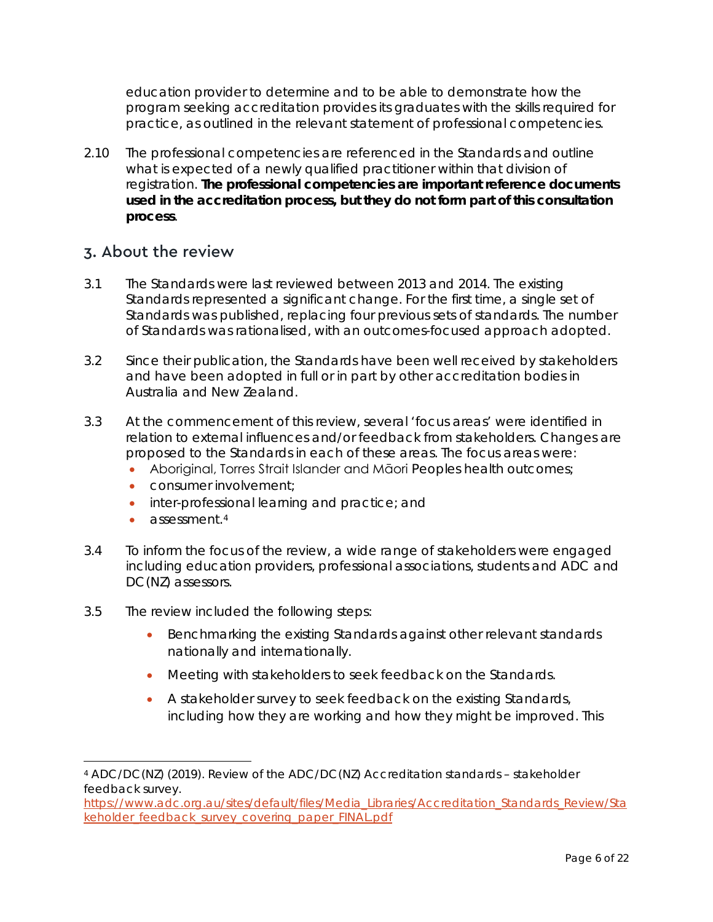education provider to determine and to be able to demonstrate how the program seeking accreditation provides its graduates with the skills required for practice, as outlined in the relevant statement of professional competencies.

2.10 The professional competencies are referenced in the Standards and outline what is expected of a newly qualified practitioner within that division of registration. **The professional competencies are important reference documents used in the accreditation process, but they do not form part of this consultation process**.

#### 3. About the review

- 3.1 The Standards were last reviewed between 2013 and 2014. The existing Standards represented a significant change. For the first time, a single set of Standards was published, replacing four previous sets of standards. The number of Standards was rationalised, with an outcomes-focused approach adopted.
- 3.2 Since their publication, the Standards have been well received by stakeholders and have been adopted in full or in part by other accreditation bodies in Australia and New Zealand.
- 3.3 At the commencement of this review, several 'focus areas' were identified in relation to external influences and/or feedback from stakeholders. Changes are proposed to the Standards in each of these areas. The focus areas were:
	- Aboriginal, Torres Strait Islander and Māori Peoples health outcomes;
	- consumer involvement;
	- inter-professional learning and practice; and
	- assessment.<sup>[4](#page-5-0)</sup>
- 3.4 To inform the focus of the review, a wide range of stakeholders were engaged including education providers, professional associations, students and ADC and DC(NZ) assessors.
- 3.5 The review included the following steps:
	- Benchmarking the existing Standards against other relevant standards nationally and internationally.
	- Meeting with stakeholders to seek feedback on the Standards.
	- A stakeholder survey to seek feedback on the existing Standards, including how they are working and how they might be improved. This

<span id="page-5-0"></span> <sup>4</sup> ADC/DC(NZ) (2019). Review of the ADC/DC(NZ) Accreditation standards – stakeholder feedback survey.

[https://www.adc.org.au/sites/default/files/Media\\_Libraries/Accreditation\\_Standards\\_Review/Sta](https://www.adc.org.au/sites/default/files/Media_Libraries/Accreditation_Standards_Review/Stakeholder_feedback_survey_covering_paper_FINAL.pdf) [keholder\\_feedback\\_survey\\_covering\\_paper\\_FINAL.pdf](https://www.adc.org.au/sites/default/files/Media_Libraries/Accreditation_Standards_Review/Stakeholder_feedback_survey_covering_paper_FINAL.pdf)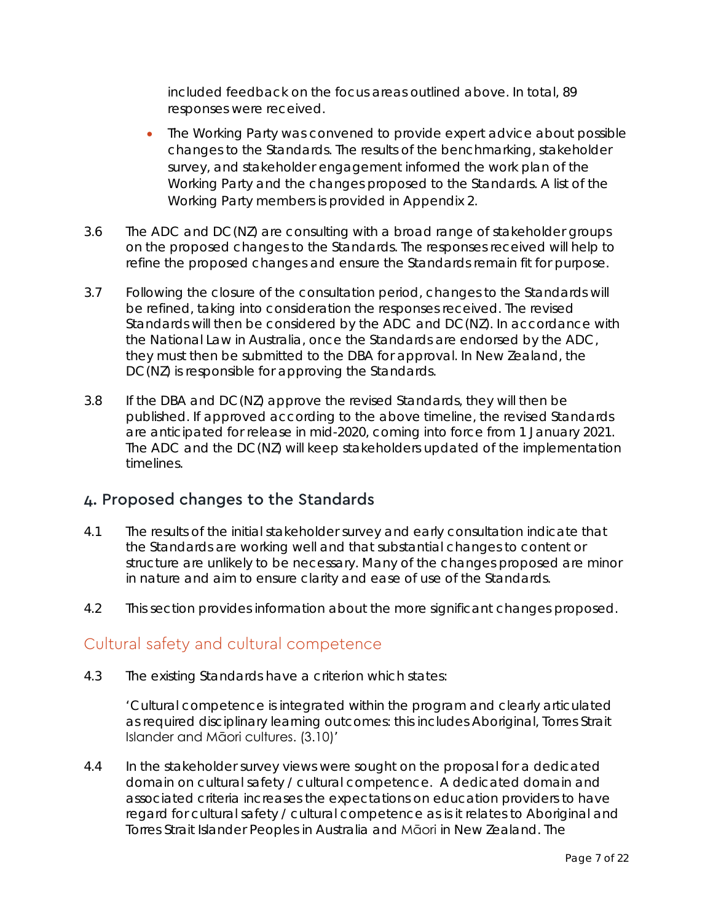included feedback on the focus areas outlined above. In total, 89 responses were received.

- The Working Party was convened to provide expert advice about possible changes to the Standards. The results of the benchmarking, stakeholder survey, and stakeholder engagement informed the work plan of the Working Party and the changes proposed to the Standards. A list of the Working Party members is provided in Appendix 2.
- 3.6 The ADC and DC(NZ) are consulting with a broad range of stakeholder groups on the proposed changes to the Standards. The responses received will help to refine the proposed changes and ensure the Standards remain fit for purpose.
- 3.7 Following the closure of the consultation period, changes to the Standards will be refined, taking into consideration the responses received. The revised Standards will then be considered by the ADC and DC(NZ). In accordance with the National Law in Australia, once the Standards are endorsed by the ADC, they must then be submitted to the DBA for approval. In New Zealand, the DC(NZ) is responsible for approving the Standards.
- 3.8 If the DBA and DC(NZ) approve the revised Standards, they will then be published. If approved according to the above timeline, the revised Standards are anticipated for release in mid-2020, coming into force from 1 January 2021. The ADC and the DC(NZ) will keep stakeholders updated of the implementation timelines.

### 4. Proposed changes to the Standards

- 4.1 The results of the initial stakeholder survey and early consultation indicate that the Standards are working well and that substantial changes to content or structure are unlikely to be necessary. Many of the changes proposed are minor in nature and aim to ensure clarity and ease of use of the Standards.
- 4.2 This section provides information about the more significant changes proposed.

# Cultural safety and cultural competence

4.3 The existing Standards have a criterion which states:

'Cultural competence is integrated within the program and clearly articulated as required disciplinary learning outcomes: this includes Aboriginal, Torres Strait Islander and Māori cultures. (3.10)'

4.4 In the stakeholder survey views were sought on the proposal for a dedicated domain on cultural safety / cultural competence. A dedicated domain and associated criteria increases the expectations on education providers to have regard for cultural safety / cultural competence as is it relates to Aboriginal and Torres Strait Islander Peoples in Australia and Māori in New Zealand. The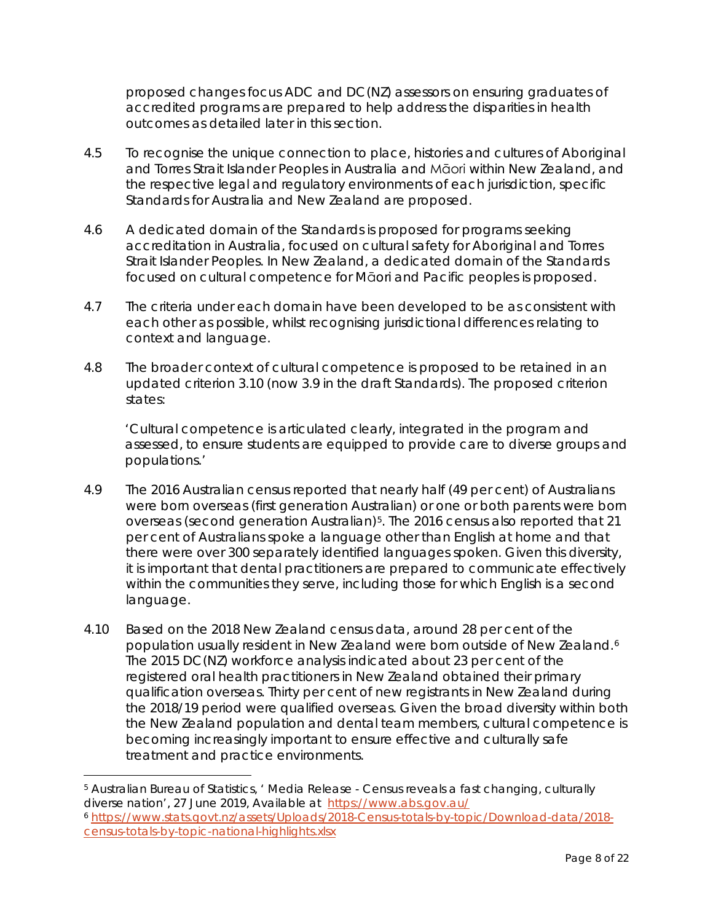proposed changes focus ADC and DC(NZ) assessors on ensuring graduates of accredited programs are prepared to help address the disparities in health outcomes as detailed later in this section.

- 4.5 To recognise the unique connection to place, histories and cultures of Aboriginal and Torres Strait Islander Peoples in Australia and Māori within New Zealand, and the respective legal and regulatory environments of each jurisdiction, specific Standards for Australia and New Zealand are proposed.
- 4.6 A dedicated domain of the Standards is proposed for programs seeking accreditation in Australia, focused on cultural safety for Aboriginal and Torres Strait Islander Peoples. In New Zealand, a dedicated domain of the Standards focused on cultural competence for Māori and Pacific peoples is proposed.
- 4.7 The criteria under each domain have been developed to be as consistent with each other as possible, whilst recognising jurisdictional differences relating to context and language.
- 4.8 The broader context of cultural competence is proposed to be retained in an updated criterion 3.10 (now 3.9 in the draft Standards). The proposed criterion states:

'Cultural competence is articulated clearly, integrated in the program and assessed, to ensure students are equipped to provide care to diverse groups and populations.'

- 4.9 The 2016 Australian census reported that nearly half (49 per cent) of Australians were born overseas (first generation Australian) or one or both parents were born overseas (second generation Australian)<sup>5</sup>. The 2016 census also reported that 21 per cent of Australians spoke a language other than English at home and that there were over 300 separately identified languages spoken. Given this diversity, it is important that dental practitioners are prepared to communicate effectively within the communities they serve, including those for which English is a second language.
- 4.10 Based on the 2018 New Zealand census data, around 28 per cent of the population usually resident in New Zealand were born outside of New Zealand.<sup>[6](#page-7-1)</sup> The 2015 DC(NZ) workforce analysis indicated about 23 per cent of the registered oral health practitioners in New Zealand obtained their primary qualification overseas. Thirty per cent of new registrants in New Zealand during the 2018/19 period were qualified overseas. Given the broad diversity within both the New Zealand population and dental team members, cultural competence is becoming increasingly important to ensure effective and culturally safe treatment and practice environments.

<span id="page-7-0"></span> <sup>5</sup> Australian Bureau of Statistics, ' Media Release - Census reveals a fast changing, culturally diverse nation', 27 June 2019, Available at <https://www.abs.gov.au/>

<span id="page-7-1"></span><sup>6</sup> [https://www.stats.govt.nz/assets/Uploads/2018-Census-totals-by-topic/Download-data/2018](https://www.stats.govt.nz/assets/Uploads/2018-Census-totals-by-topic/Download-data/2018-census-totals-by-topic-national-highlights.xlsx) [census-totals-by-topic-national-highlights.xlsx](https://www.stats.govt.nz/assets/Uploads/2018-Census-totals-by-topic/Download-data/2018-census-totals-by-topic-national-highlights.xlsx)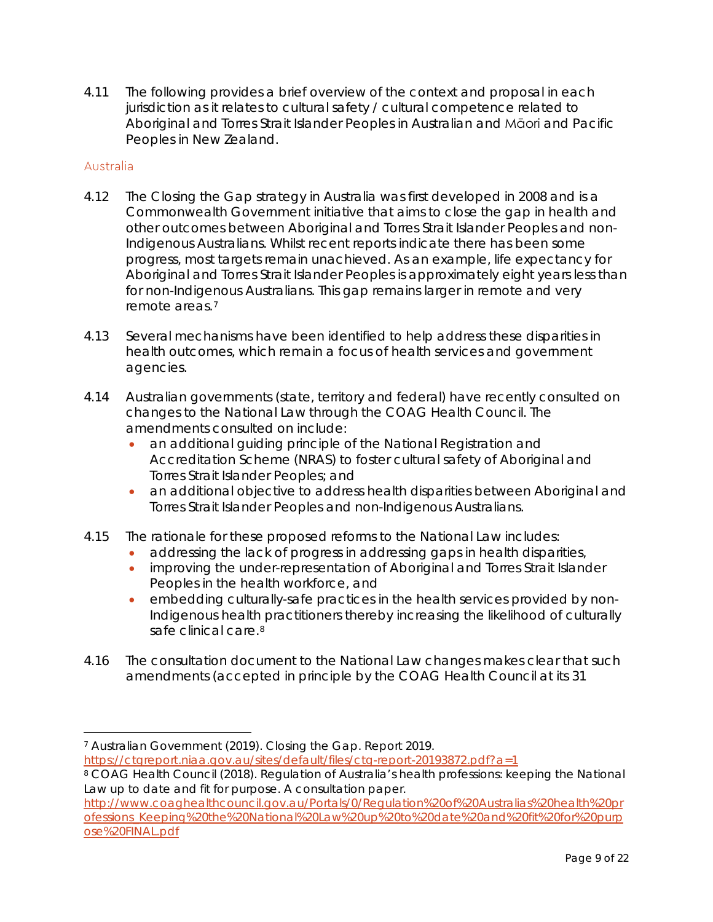4.11 The following provides a brief overview of the context and proposal in each jurisdiction as it relates to cultural safety / cultural competence related to Aboriginal and Torres Strait Islander Peoples in Australian and Māori and Pacific Peoples in New Zealand.

#### Australia

- 4.12 The Closing the Gap strategy in Australia was first developed in 2008 and is a Commonwealth Government initiative that aims to close the gap in health and other outcomes between Aboriginal and Torres Strait Islander Peoples and non-Indigenous Australians. Whilst recent reports indicate there has been some progress, most targets remain unachieved. As an example, life expectancy for Aboriginal and Torres Strait Islander Peoples is approximately eight years less than for non-Indigenous Australians. This gap remains larger in remote and very remote areas.[7](#page-8-0)
- 4.13 Several mechanisms have been identified to help address these disparities in health outcomes, which remain a focus of health services and government agencies.
- 4.14 Australian governments (state, territory and federal) have recently consulted on changes to the National Law through the COAG Health Council. The amendments consulted on include:
	- an additional guiding principle of the National Registration and Accreditation Scheme (NRAS) to foster cultural safety of Aboriginal and Torres Strait Islander Peoples; and
	- an additional objective to address health disparities between Aboriginal and Torres Strait Islander Peoples and non-Indigenous Australians.
- 4.15 The rationale for these proposed reforms to the National Law includes:
	- addressing the lack of progress in addressing gaps in health disparities,
	- improving the under-representation of Aboriginal and Torres Strait Islander Peoples in the health workforce, and
	- embedding culturally-safe practices in the health services provided by non-Indigenous health practitioners thereby increasing the likelihood of culturally safe clinical care.<sup>[8](#page-8-1)</sup>
- 4.16 The consultation document to the National Law changes makes clear that such amendments (accepted in principle by the COAG Health Council at its 31

<span id="page-8-0"></span> <sup>7</sup> Australian Government (2019). Closing the Gap. Report 2019. <https://ctgreport.niaa.gov.au/sites/default/files/ctg-report-20193872.pdf?a=1>

<span id="page-8-1"></span><sup>8</sup> COAG Health Council (2018). Regulation of Australia's health professions: keeping the National Law up to date and fit for purpose. A consultation paper.

[http://www.coaghealthcouncil.gov.au/Portals/0/Regulation%20of%20Australias%20health%20pr](http://www.coaghealthcouncil.gov.au/Portals/0/Regulation%20of%20Australias%20health%20professions_Keeping%20the%20National%20Law%20up%20to%20date%20and%20fit%20for%20purpose%20FINAL.pdf) [ofessions\\_Keeping%20the%20National%20Law%20up%20to%20date%20and%20fit%20for%20purp](http://www.coaghealthcouncil.gov.au/Portals/0/Regulation%20of%20Australias%20health%20professions_Keeping%20the%20National%20Law%20up%20to%20date%20and%20fit%20for%20purpose%20FINAL.pdf) [ose%20FINAL.pdf](http://www.coaghealthcouncil.gov.au/Portals/0/Regulation%20of%20Australias%20health%20professions_Keeping%20the%20National%20Law%20up%20to%20date%20and%20fit%20for%20purpose%20FINAL.pdf)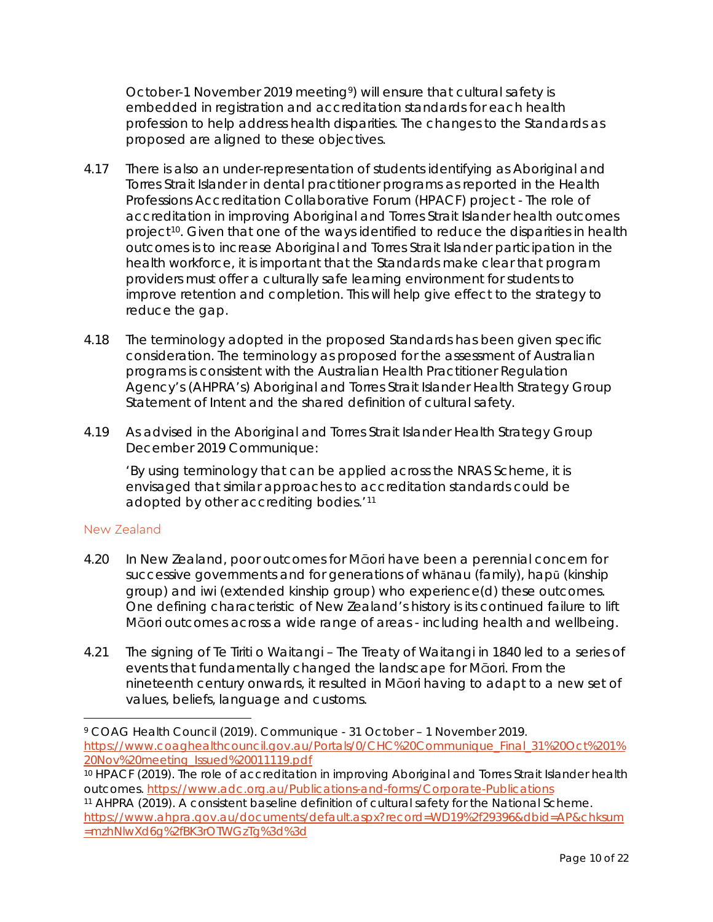October-1 November 2019 meeting<sup>9</sup>) will ensure that cultural safety is embedded in registration and accreditation standards for each health profession to help address health disparities. The changes to the Standards as proposed are aligned to these objectives.

- 4.17 There is also an under-representation of students identifying as Aboriginal and Torres Strait Islander in dental practitioner programs as reported in the Health Professions Accreditation Collaborative Forum (HPACF) project - *The role of accreditation in improving Aboriginal and Torres Strait Islander health outcomes project*[10](#page-9-1). Given that one of the ways identified to reduce the disparities in health outcomes is to increase Aboriginal and Torres Strait Islander participation in the health workforce, it is important that the Standards make clear that program providers must offer a culturally safe learning environment for students to improve retention and completion. This will help give effect to the strategy to reduce the gap.
- 4.18 The terminology adopted in the proposed Standards has been given specific consideration. The terminology as proposed for the assessment of Australian programs is consistent with the Australian Health Practitioner Regulation Agency's (AHPRA's) Aboriginal and Torres Strait Islander Health Strategy Group Statement of Intent and the shared definition of cultural safety.
- 4.19 As advised in the Aboriginal and Torres Strait Islander Health Strategy Group December 2019 Communique:

'By using terminology that can be applied across the NRAS Scheme, it is envisaged that similar approaches to accreditation standards could be adopted by other accrediting bodies.'[11](#page-9-2)

#### New Zealand

- 4.20 In New Zealand, poor outcomes for Māori have been a perennial concern for successive governments and for generations of whānau (family), hapū (kinship group) and iwi (extended kinship group) who experience(d) these outcomes. One defining characteristic of New Zealand's history is its continued failure to lift Māori outcomes across a wide range of areas - including health and wellbeing.
- 4.21 The signing of Te Tiriti o Waitangi The Treaty of Waitangi in 1840 led to a series of events that fundamentally changed the landscape for Māori. From the nineteenth century onwards, it resulted in Māori having to adapt to a new set of values, beliefs, language and customs.

<span id="page-9-0"></span> <sup>9</sup> COAG Health Council (2019). Communique - 31 October – 1 November 2019. [https://www.coaghealthcouncil.gov.au/Portals/0/CHC%20Communique\\_Final\\_31%20Oct%201%](https://www.coaghealthcouncil.gov.au/Portals/0/CHC%20Communique_Final_31%20Oct%201%20Nov%20meeting_Issued%20011119.pdf) [20Nov%20meeting\\_Issued%20011119.pdf](https://www.coaghealthcouncil.gov.au/Portals/0/CHC%20Communique_Final_31%20Oct%201%20Nov%20meeting_Issued%20011119.pdf)

<span id="page-9-1"></span><sup>&</sup>lt;sup>10</sup> HPACF (2019). The role of accreditation in improving Aboriginal and Torres Strait Islander health outcomes.<https://www.adc.org.au/Publications-and-forms/Corporate-Publications>

<span id="page-9-2"></span><sup>11</sup> AHPRA (2019). A consistent baseline definition of cultural safety for the National Scheme. [https://www.ahpra.gov.au/documents/default.aspx?record=WD19%2f29396&dbid=AP&chksum](https://www.ahpra.gov.au/documents/default.aspx?record=WD19%2f29396&dbid=AP&chksum=mzhNlwXd6g%2fBK3rOTWGzTg%3d%3d) [=mzhNlwXd6g%2fBK3rOTWGzTg%3d%3d](https://www.ahpra.gov.au/documents/default.aspx?record=WD19%2f29396&dbid=AP&chksum=mzhNlwXd6g%2fBK3rOTWGzTg%3d%3d)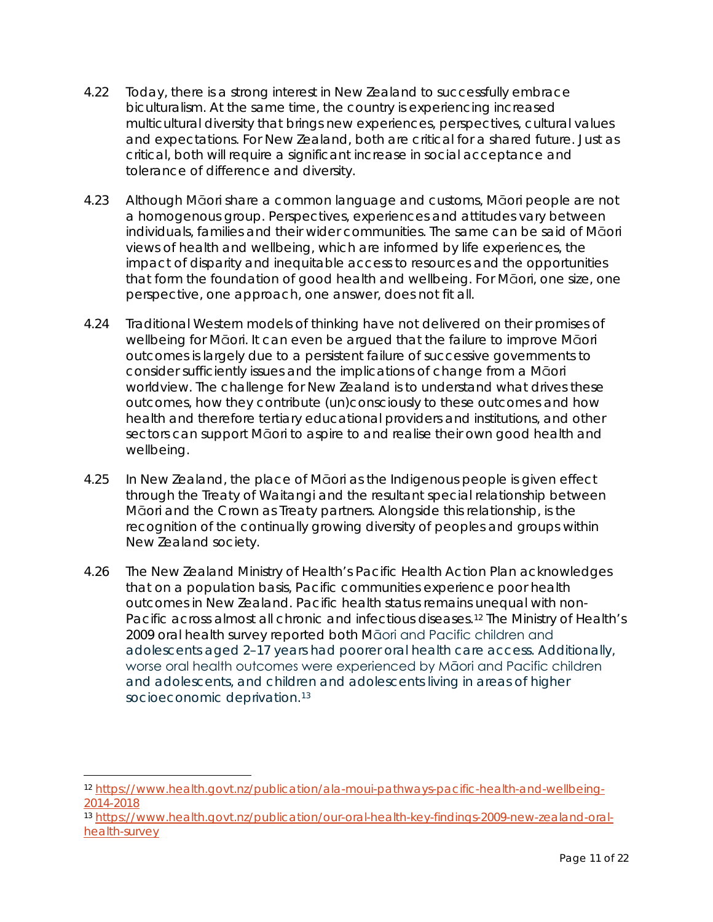- 4.22 Today, there is a strong interest in New Zealand to successfully embrace biculturalism. At the same time, the country is experiencing increased multicultural diversity that brings new experiences, perspectives, cultural values and expectations. For New Zealand, both are critical for a shared future. Just as critical, both will require a significant increase in social acceptance and tolerance of difference and diversity.
- 4.23 Although Māori share a common language and customs, Māori people are not a homogenous group. Perspectives, experiences and attitudes vary between individuals, families and their wider communities. The same can be said of Māori views of health and wellbeing, which are informed by life experiences, the impact of disparity and inequitable access to resources and the opportunities that form the foundation of good health and wellbeing. For Māori, one size, one perspective, one approach, one answer, does not fit all.
- 4.24 Traditional Western models of thinking have not delivered on their promises of wellbeing for Māori. It can even be argued that the failure to improve Māori outcomes is largely due to a persistent failure of successive governments to consider sufficiently issues and the implications of change from a Māori worldview. The challenge for New Zealand is to understand what drives these outcomes, how they contribute (un)consciously to these outcomes and how health and therefore tertiary educational providers and institutions, and other sectors can support Māori to aspire to and realise their own good health and wellbeing.
- 4.25 In New Zealand, the place of Māori as the Indigenous people is given effect through the Treaty of Waitangi and the resultant special relationship between Māori and the Crown as Treaty partners. Alongside this relationship, is the recognition of the continually growing diversity of peoples and groups within New Zealand society.
- 4.26 The New Zealand Ministry of Health's Pacific Health Action Plan acknowledges that on a population basis, Pacific communities experience poor health outcomes in New Zealand. Pacific health status remains unequal with non-Pacific across almost all chronic and infectious diseases.[12](#page-10-0) The Ministry of Health's 2009 oral health survey reported both Māori and Pacific children and adolescents aged 2–17 years had poorer oral health care access. Additionally, worse oral health outcomes were experienced by Māori and Pacific children and adolescents, and children and adolescents living in areas of higher socioeconomic deprivation.<sup>[13](#page-10-1)</sup>

<span id="page-10-0"></span> <sup>12</sup> [https://www.health.govt.nz/publication/ala-moui-pathways-pacific-health-and-wellbeing-](https://www.health.govt.nz/publication/ala-moui-pathways-pacific-health-and-wellbeing-2014-2018)[2014-2018](https://www.health.govt.nz/publication/ala-moui-pathways-pacific-health-and-wellbeing-2014-2018)

<span id="page-10-1"></span><sup>13</sup> [https://www.health.govt.nz/publication/our-oral-health-key-findings-2009-new-zealand-oral](https://www.health.govt.nz/publication/our-oral-health-key-findings-2009-new-zealand-oral-health-survey)[health-survey](https://www.health.govt.nz/publication/our-oral-health-key-findings-2009-new-zealand-oral-health-survey)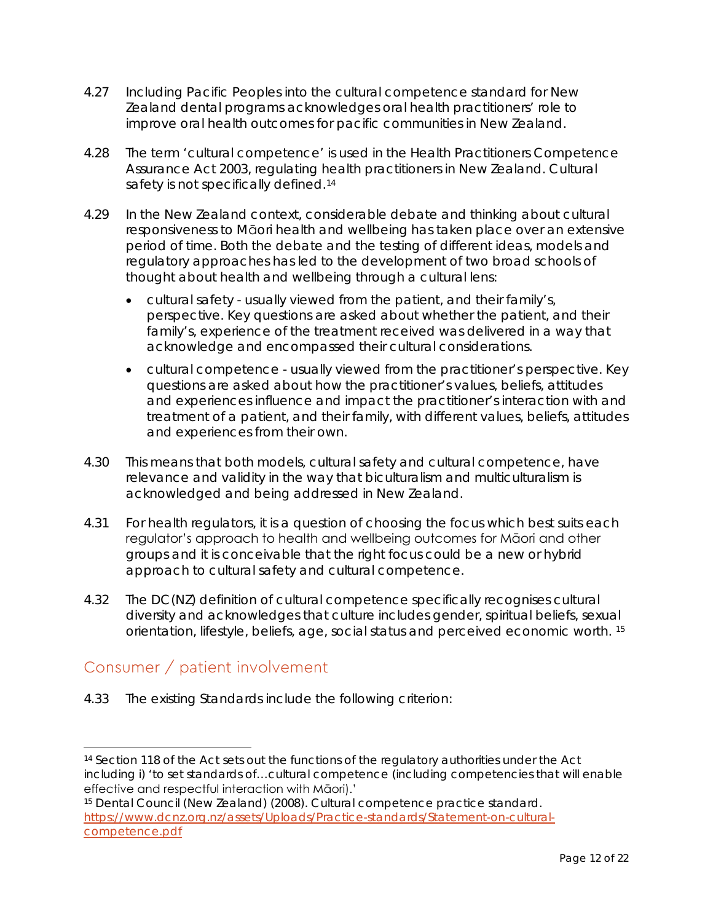- 4.27 Including Pacific Peoples into the cultural competence standard for New Zealand dental programs acknowledges oral health practitioners' role to improve oral health outcomes for pacific communities in New Zealand.
- 4.28 The term 'cultural competence' is used in the *Health Practitioners Competence Assurance Act* 2003, regulating health practitioners in New Zealand. Cultural safety is not specifically defined.<sup>14</sup>
- 4.29 In the New Zealand context, considerable debate and thinking about cultural responsiveness to Māori health and wellbeing has taken place over an extensive period of time. Both the debate and the testing of different ideas, models and regulatory approaches has led to the development of two broad schools of thought about health and wellbeing through a cultural lens:
	- *cultural safety* usually viewed from the patient, and their family's, perspective. Key questions are asked about whether the patient, and their family's, experience of the treatment received was delivered in a way that acknowledge and encompassed their cultural considerations.
	- *cultural competence* usually viewed from the practitioner's perspective. Key questions are asked about how the practitioner's values, beliefs, attitudes and experiences influence and impact the practitioner's interaction with and treatment of a patient, and their family, with different values, beliefs, attitudes and experiences from their own.
- 4.30 This means that both models, cultural safety and cultural competence, have relevance and validity in the way that biculturalism and multiculturalism is acknowledged and being addressed in New Zealand.
- 4.31 For health regulators, it is a question of choosing the focus which best suits each regulator's approach to health and wellbeing outcomes for Māori and other groups and it is conceivable that the right focus could be a new or hybrid approach to cultural safety and cultural competence.
- 4.32 The DC(NZ) definition of cultural competence specifically recognises cultural diversity and acknowledges that culture includes gender, spiritual beliefs, sexual orientation, lifestyle, beliefs, age, social status and perceived economic worth. [15](#page-11-1)

# Consumer / patient involvement

4.33 The existing Standards include the following criterion:

<span id="page-11-0"></span><sup>&</sup>lt;sup>14</sup> Section 118 of the Act sets out the functions of the regulatory authorities under the Act including i) 'to set standards of…cultural competence (including competencies that will enable effective and respectful interaction with Māori).'

<span id="page-11-1"></span><sup>15</sup> Dental Council (New Zealand) (2008). Cultural competence practice standard. [https://www.dcnz.org.nz/assets/Uploads/Practice-standards/Statement-on-cultural](https://www.dcnz.org.nz/assets/Uploads/Practice-standards/Statement-on-cultural-competence.pdf)[competence.pdf](https://www.dcnz.org.nz/assets/Uploads/Practice-standards/Statement-on-cultural-competence.pdf)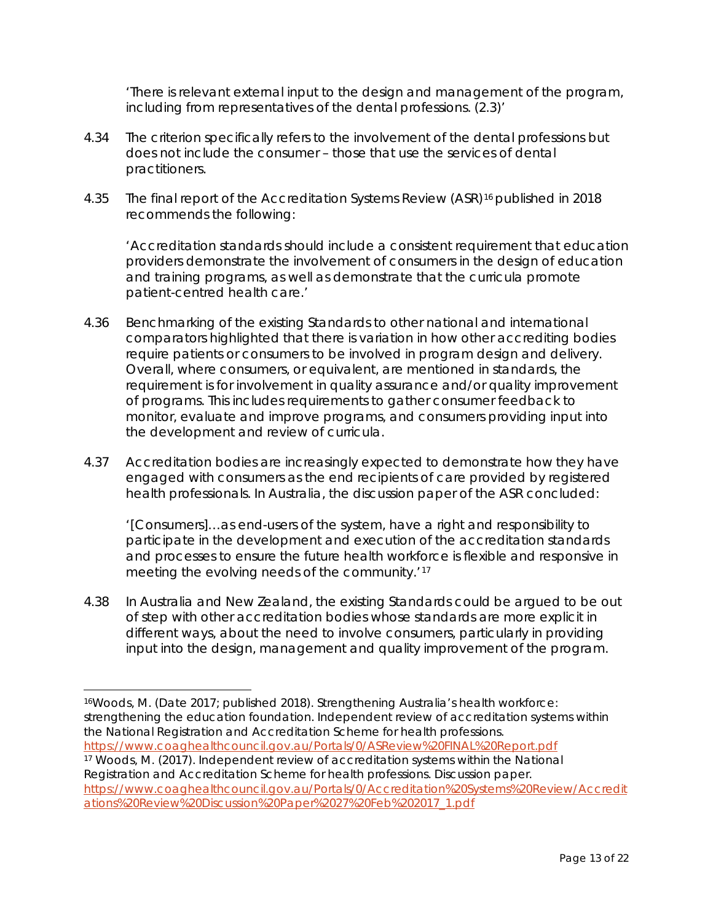'There is relevant external input to the design and management of the program, including from representatives of the dental professions. (2.3)'

- 4.34 The criterion specifically refers to the involvement of the dental professions but does not include the consumer – those that use the services of dental practitioners.
- 4.35 The final report of the Accreditation Systems Review (ASR)<sup>[16](#page-12-0)</sup> published in 2018 recommends the following:

'Accreditation standards should include a consistent requirement that education providers demonstrate the involvement of consumers in the design of education and training programs, as well as demonstrate that the curricula promote patient-centred health care.'

- 4.36 Benchmarking of the existing Standards to other national and international comparators highlighted that there is variation in how other accrediting bodies require patients or consumers to be involved in program design and delivery. Overall, where consumers, or equivalent, are mentioned in standards, the requirement is for involvement in quality assurance and/or quality improvement of programs. This includes requirements to gather consumer feedback to monitor, evaluate and improve programs, and consumers providing input into the development and review of curricula.
- 4.37 Accreditation bodies are increasingly expected to demonstrate how they have engaged with consumers as the end recipients of care provided by registered health professionals. In Australia, the discussion paper of the ASR concluded:

'[Consumers]…as end-users of the system, have a right and responsibility to participate in the development and execution of the accreditation standards and processes to ensure the future health workforce is flexible and responsive in meeting the evolving needs of the community.'[17](#page-12-1)

4.38 In Australia and New Zealand, the existing Standards could be argued to be out of step with other accreditation bodies whose standards are more explicit in different ways, about the need to involve consumers, particularly in providing input into the design, management and quality improvement of the program.

<span id="page-12-1"></span><https://www.coaghealthcouncil.gov.au/Portals/0/ASReview%20FINAL%20Report.pdf> <sup>17</sup> Woods, M. (2017). Independent review of accreditation systems within the National Registration and Accreditation Scheme for health professions. Discussion paper. [https://www.coaghealthcouncil.gov.au/Portals/0/Accreditation%20Systems%20Review/Accredit](https://www.coaghealthcouncil.gov.au/Portals/0/Accreditation%20Systems%20Review/Accreditations%20Review%20Discussion%20Paper%2027%20Feb%202017_1.pdf) [ations%20Review%20Discussion%20Paper%2027%20Feb%202017\\_1.pdf](https://www.coaghealthcouncil.gov.au/Portals/0/Accreditation%20Systems%20Review/Accreditations%20Review%20Discussion%20Paper%2027%20Feb%202017_1.pdf)

<span id="page-12-0"></span> <sup>16</sup>Woods, M. (Date 2017; published 2018). Strengthening Australia's health workforce: strengthening the education foundation. Independent review of accreditation systems within the National Registration and Accreditation Scheme for health professions.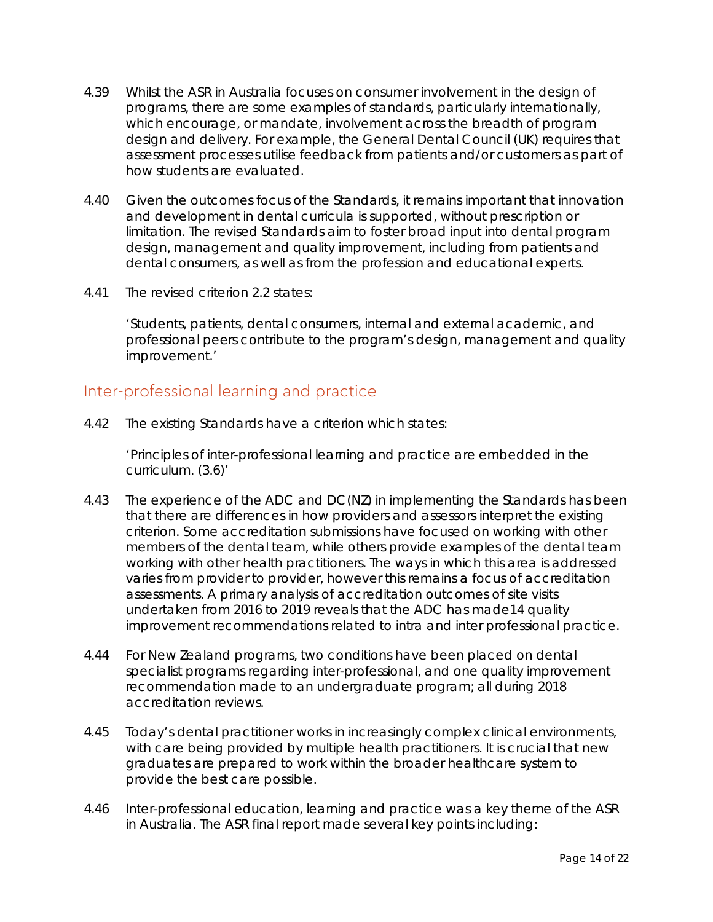- 4.39 Whilst the ASR in Australia focuses on consumer involvement in the design of programs, there are some examples of standards, particularly internationally, which encourage, or mandate, involvement across the breadth of program design and delivery. For example, the General Dental Council (UK) requires that assessment processes utilise feedback from patients and/or customers as part of how students are evaluated.
- 4.40 Given the outcomes focus of the Standards, it remains important that innovation and development in dental curricula is supported, without prescription or limitation. The revised Standards aim to foster broad input into dental program design, management and quality improvement, including from patients and dental consumers, as well as from the profession and educational experts.
- 4.41 The revised criterion 2.2 states:

'Students, patients, dental consumers, internal and external academic, and professional peers contribute to the program's design, management and quality improvement.'

### Inter-professional learning and practice

4.42 The existing Standards have a criterion which states:

'Principles of inter-professional learning and practice are embedded in the curriculum. (3.6)'

- 4.43 The experience of the ADC and DC(NZ) in implementing the Standards has been that there are differences in how providers and assessors interpret the existing criterion. Some accreditation submissions have focused on working with other members of the dental team, while others provide examples of the dental team working with other health practitioners. The ways in which this area is addressed varies from provider to provider, however this remains a focus of accreditation assessments. A primary analysis of accreditation outcomes of site visits undertaken from 2016 to 2019 reveals that the ADC has made14 quality improvement recommendations related to intra and inter professional practice.
- 4.44 For New Zealand programs, two conditions have been placed on dental specialist programs regarding inter-professional, and one quality improvement recommendation made to an undergraduate program; all during 2018 accreditation reviews.
- 4.45 Today's dental practitioner works in increasingly complex clinical environments, with care being provided by multiple health practitioners. It is crucial that new graduates are prepared to work within the broader healthcare system to provide the best care possible.
- 4.46 Inter-professional education, learning and practice was a key theme of the ASR in Australia. The ASR final report made several key points including: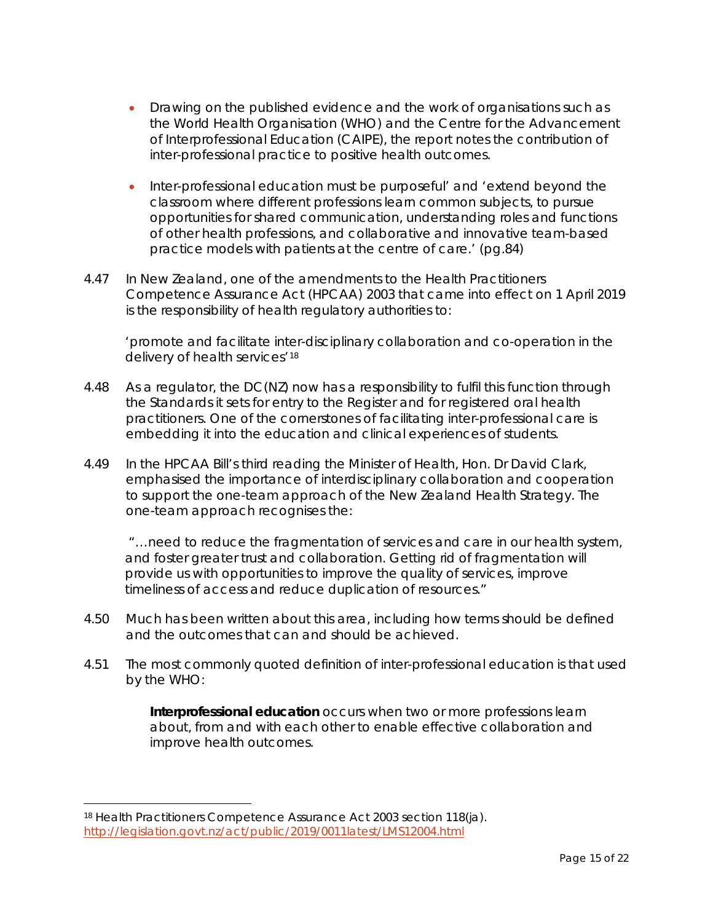- Drawing on the published evidence and the work of organisations such as the World Health Organisation (WHO) and the Centre for the Advancement of Interprofessional Education (CAIPE), the report notes the contribution of inter-professional practice to positive health outcomes.
- Inter-professional education must be purposeful' and 'extend beyond the classroom where different professions learn common subjects, to pursue opportunities for shared communication, understanding roles and functions of other health professions, and collaborative and innovative team-based practice models with patients at the centre of care.' (pg.84)
- 4.47 In New Zealand, one of the amendments to the *Health Practitioners Competence Assurance Act* (HPCAA) 2003 that came into effect on 1 April 2019 is the responsibility of health regulatory authorities to:

'promote and facilitate inter-disciplinary collaboration and co-operation in the delivery of health services<sup>' [18](#page-14-0)</sup>

- 4.48 As a regulator, the DC(NZ) now has a responsibility to fulfil this function through the Standards it sets for entry to the Register and for registered oral health practitioners. One of the cornerstones of facilitating inter-professional care is embedding it into the education and clinical experiences of students.
- 4.49 In the HPCAA Bill's third reading the Minister of Health, Hon. Dr David Clark, emphasised the importance of interdisciplinary collaboration and cooperation to support the one-team approach of the New Zealand Health Strategy. The one-team approach recognises the:

"…need to reduce the fragmentation of services and care in our health system, and foster greater trust and collaboration. Getting rid of fragmentation will provide us with opportunities to improve the quality of services, improve timeliness of access and reduce duplication of resources."

- 4.50 Much has been written about this area, including how terms should be defined and the outcomes that can and should be achieved.
- 4.51 The most commonly quoted definition of inter-professional education is that used by the WHO:

**Interprofessional education** occurs when two or more professions learn about, from and with each other to enable effective collaboration and improve health outcomes.

<span id="page-14-0"></span> <sup>18</sup> Health Practitioners Competence Assurance Act 2003 section 118(ja). <http://legislation.govt.nz/act/public/2019/0011latest/LMS12004.html>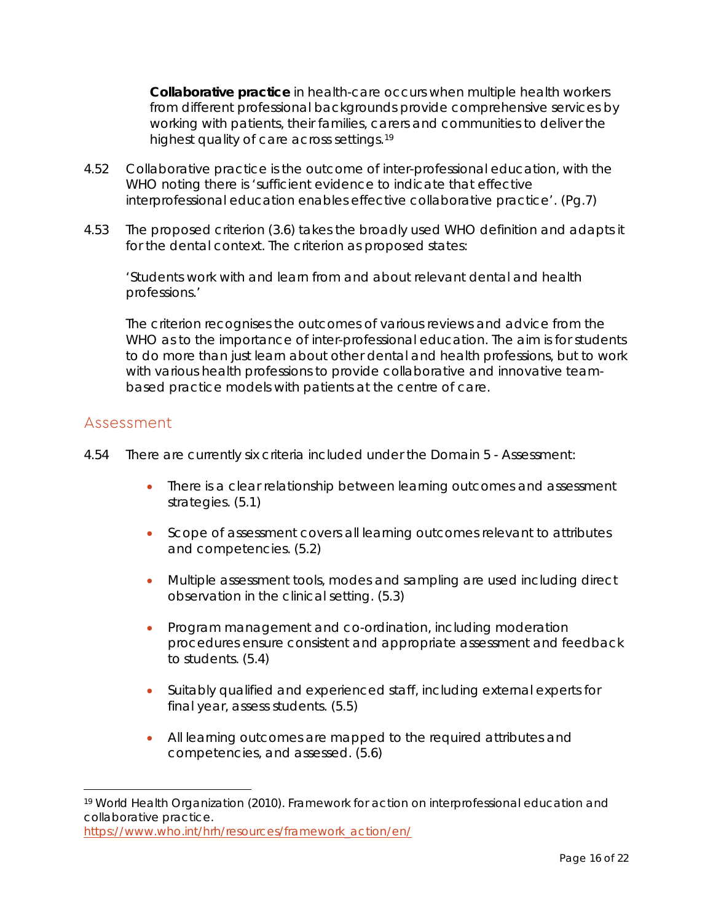**Collaborative practice** in health-care occurs when multiple health workers from different professional backgrounds provide comprehensive services by working with patients, their families, carers and communities to deliver the highest quality of care across settings.[19](#page-15-0)

- 4.52 Collaborative practice is the outcome of inter-professional education, with the WHO noting there is 'sufficient evidence to indicate that effective interprofessional education enables effective collaborative practice'. (Pg.7)
- 4.53 The proposed criterion (3.6) takes the broadly used WHO definition and adapts it for the dental context. The criterion as proposed states:

'Students work with and learn from and about relevant dental and health professions.'

The criterion recognises the outcomes of various reviews and advice from the WHO as to the importance of inter-professional education. The aim is for students to do more than just learn about other dental and health professions, but to work with various health professions to provide collaborative and innovative teambased practice models with patients at the centre of care.

### Assessment

- 4.54 There are currently six criteria included under the Domain 5 Assessment:
	- There is a clear relationship between learning outcomes and assessment strategies. (5.1)
	- Scope of assessment covers all learning outcomes relevant to attributes and competencies. (5.2)
	- Multiple assessment tools, modes and sampling are used including direct observation in the clinical setting. (5.3)
	- Program management and co-ordination, including moderation procedures ensure consistent and appropriate assessment and feedback to students. (5.4)
	- Suitably qualified and experienced staff, including external experts for final year, assess students. (5.5)
	- All learning outcomes are mapped to the required attributes and competencies, and assessed. (5.6)

<span id="page-15-0"></span> <sup>19</sup> World Health Organization (2010). Framework for action on interprofessional education and collaborative practice. [https://www.who.int/hrh/resources/framework\\_action/en/](https://www.who.int/hrh/resources/framework_action/en/)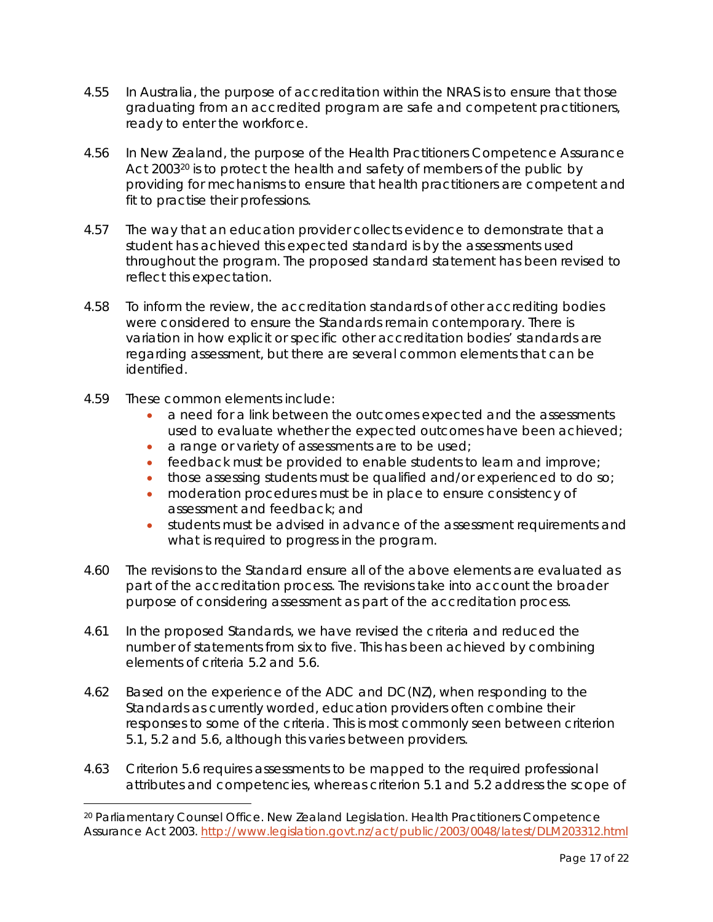- 4.55 In Australia, the purpose of accreditation within the NRAS is to ensure that those graduating from an accredited program are safe and competent practitioners, ready to enter the workforce.
- 4.56 In New Zealand, the purpose of the *Health Practitioners Competence Assurance*  Act [20](#page-16-0)03<sup>20</sup> is to protect the health and safety of members of the public by providing for mechanisms to ensure that health practitioners are competent and fit to practise their professions.
- 4.57 The way that an education provider collects evidence to demonstrate that a student has achieved this expected standard is by the assessments used throughout the program. The proposed standard statement has been revised to reflect this expectation.
- 4.58 To inform the review, the accreditation standards of other accrediting bodies were considered to ensure the Standards remain contemporary. There is variation in how explicit or specific other accreditation bodies' standards are regarding assessment, but there are several common elements that can be identified.
- 4.59 These common elements include:
	- a need for a link between the outcomes expected and the assessments used to evaluate whether the expected outcomes have been achieved;
	- a range or variety of assessments are to be used;
	- feedback must be provided to enable students to learn and improve;
	- those assessing students must be qualified and/or experienced to do so;
	- moderation procedures must be in place to ensure consistency of assessment and feedback; and
	- students must be advised in advance of the assessment requirements and what is required to progress in the program.
- 4.60 The revisions to the Standard ensure all of the above elements are evaluated as part of the accreditation process. The revisions take into account the broader purpose of considering assessment as part of the accreditation process.
- 4.61 In the proposed Standards, we have revised the criteria and reduced the number of statements from six to five. This has been achieved by combining elements of criteria 5.2 and 5.6.
- 4.62 Based on the experience of the ADC and DC(NZ), when responding to the Standards as currently worded, education providers often combine their responses to some of the criteria. This is most commonly seen between criterion 5.1, 5.2 and 5.6, although this varies between providers.
- 4.63 Criterion 5.6 requires assessments to be mapped to the required professional attributes and competencies, whereas criterion 5.1 and 5.2 address the scope of

<span id="page-16-0"></span> <sup>20</sup> Parliamentary Counsel Office. New Zealand Legislation. *Health Practitioners Competence Assurance Act 2003*.<http://www.legislation.govt.nz/act/public/2003/0048/latest/DLM203312.html>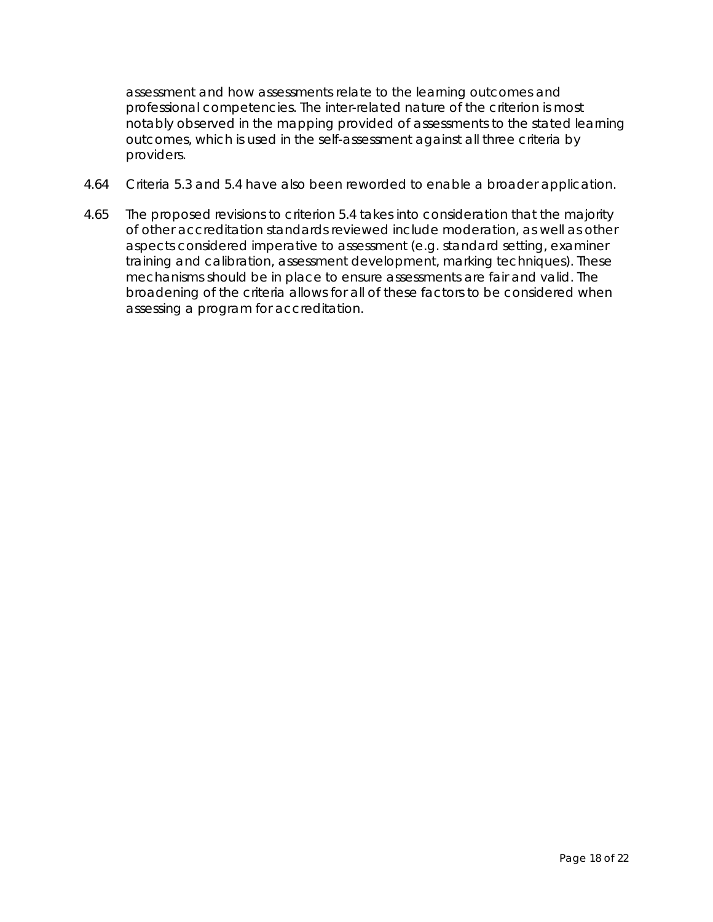assessment and how assessments relate to the learning outcomes and professional competencies. The inter-related nature of the criterion is most notably observed in the mapping provided of assessments to the stated learning outcomes, which is used in the self-assessment against all three criteria by providers.

- 4.64 Criteria 5.3 and 5.4 have also been reworded to enable a broader application.
- 4.65 The proposed revisions to criterion 5.4 takes into consideration that the majority of other accreditation standards reviewed include moderation, as well as other aspects considered imperative to assessment (e.g. standard setting, examiner training and calibration, assessment development, marking techniques). These mechanisms should be in place to ensure assessments are fair and valid. The broadening of the criteria allows for all of these factors to be considered when assessing a program for accreditation.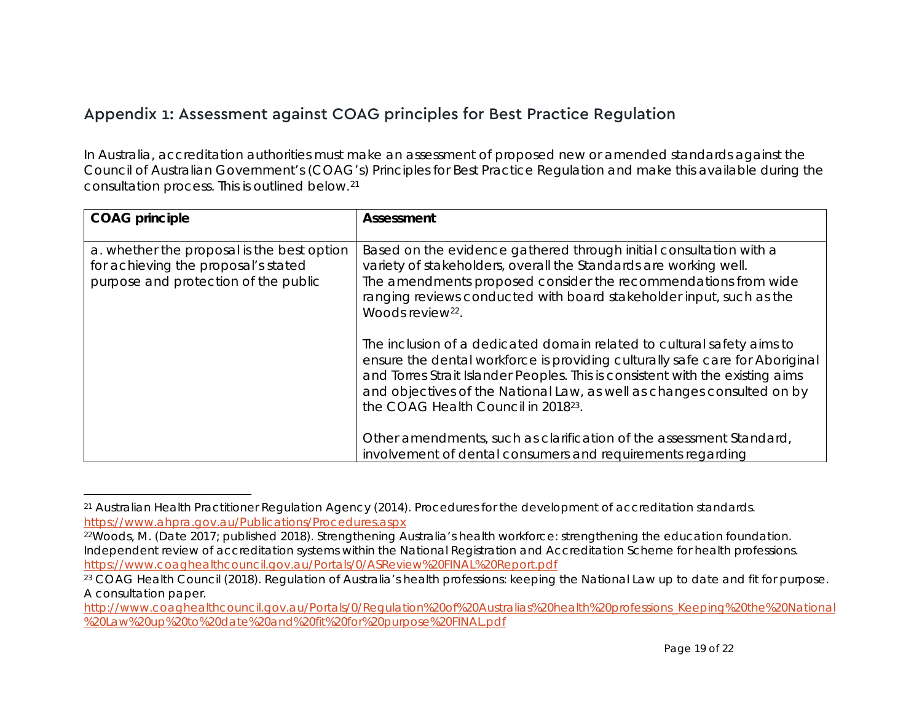# <span id="page-18-2"></span><span id="page-18-1"></span><span id="page-18-0"></span>Appendix 1: Assessment against COAG principles for Best Practice Regulation

In Australia, accreditation authorities must make an assessment of proposed new or amended standards against the Council of Australian Government's (COAG's) Principles for Best Practice Regulation and make this available during the consultation process. This is outlined below.[21](#page-18-0)

| <b>COAG</b> principle                                                                                                     | Assessment                                                                                                                                                                                                                                                                                                                                                           |
|---------------------------------------------------------------------------------------------------------------------------|----------------------------------------------------------------------------------------------------------------------------------------------------------------------------------------------------------------------------------------------------------------------------------------------------------------------------------------------------------------------|
| a. whether the proposal is the best option<br>for achieving the proposal's stated<br>purpose and protection of the public | Based on the evidence gathered through initial consultation with a<br>variety of stakeholders, overall the Standards are working well.<br>The amendments proposed consider the recommendations from wide<br>ranging reviews conducted with board stakeholder input, such as the<br>Woods review <sup>22</sup> .                                                      |
|                                                                                                                           | The inclusion of a dedicated domain related to cultural safety aims to<br>ensure the dental workforce is providing culturally safe care for Aboriginal<br>and Torres Strait Islander Peoples. This is consistent with the existing aims<br>and objectives of the National Law, as well as changes consulted on by<br>the COAG Health Council in 2018 <sup>23</sup> . |
|                                                                                                                           | Other amendments, such as clarification of the assessment Standard,<br>involvement of dental consumers and requirements regarding                                                                                                                                                                                                                                    |

 <sup>21</sup> Australian Health Practitioner Regulation Agency (2014). Procedures for the development of accreditation standards. <https://www.ahpra.gov.au/Publications/Procedures.aspx>

<sup>22</sup>Woods, M. (Date 2017; published 2018). Strengthening Australia's health workforce: strengthening the education foundation. Independent review of accreditation systems within the National Registration and Accreditation Scheme for health professions. <https://www.coaghealthcouncil.gov.au/Portals/0/ASReview%20FINAL%20Report.pdf>

<sup>&</sup>lt;sup>23</sup> COAG Health Council (2018). Regulation of Australia's health professions: keeping the National Law up to date and fit for purpose. A consultation paper.

[http://www.coaghealthcouncil.gov.au/Portals/0/Regulation%20of%20Australias%20health%20professions\\_Keeping%20the%20National](http://www.coaghealthcouncil.gov.au/Portals/0/Regulation%20of%20Australias%20health%20professions_Keeping%20the%20National%20Law%20up%20to%20date%20and%20fit%20for%20purpose%20FINAL.pdf) [%20Law%20up%20to%20date%20and%20fit%20for%20purpose%20FINAL.pdf](http://www.coaghealthcouncil.gov.au/Portals/0/Regulation%20of%20Australias%20health%20professions_Keeping%20the%20National%20Law%20up%20to%20date%20and%20fit%20for%20purpose%20FINAL.pdf)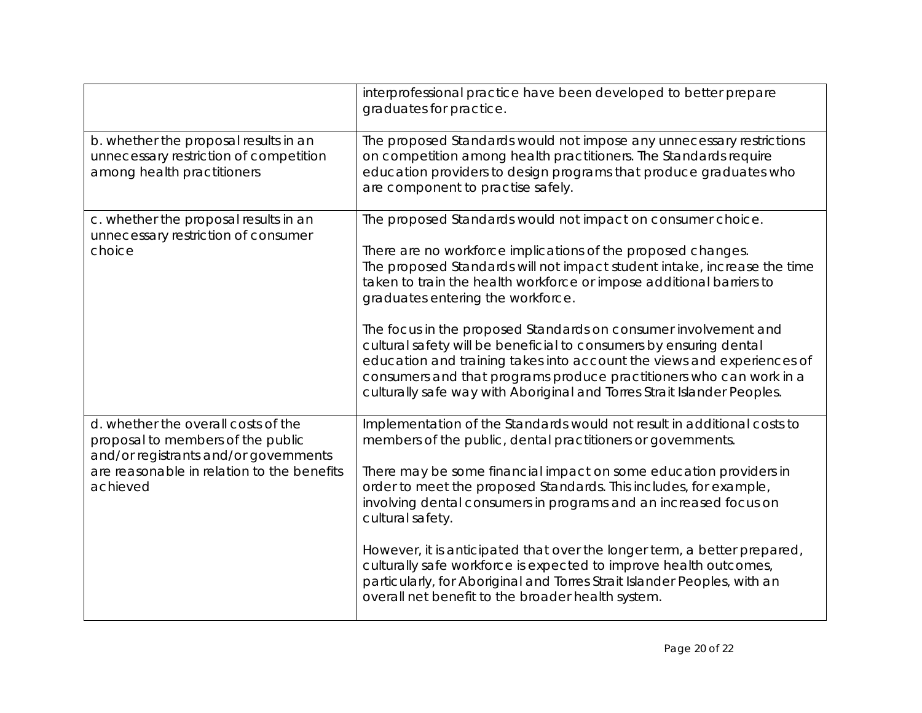|                                                                                                                                                                             | interprofessional practice have been developed to better prepare<br>graduates for practice.                                                                                                                                                                                                                                                                                                                                                                                                                                                                                                                                                                                               |
|-----------------------------------------------------------------------------------------------------------------------------------------------------------------------------|-------------------------------------------------------------------------------------------------------------------------------------------------------------------------------------------------------------------------------------------------------------------------------------------------------------------------------------------------------------------------------------------------------------------------------------------------------------------------------------------------------------------------------------------------------------------------------------------------------------------------------------------------------------------------------------------|
| b. whether the proposal results in an<br>unnecessary restriction of competition<br>among health practitioners                                                               | The proposed Standards would not impose any unnecessary restrictions<br>on competition among health practitioners. The Standards require<br>education providers to design programs that produce graduates who<br>are component to practise safely.                                                                                                                                                                                                                                                                                                                                                                                                                                        |
| c. whether the proposal results in an<br>unnecessary restriction of consumer<br>choice                                                                                      | The proposed Standards would not impact on consumer choice.<br>There are no workforce implications of the proposed changes.<br>The proposed Standards will not impact student intake, increase the time<br>taken to train the health workforce or impose additional barriers to<br>graduates entering the workforce.<br>The focus in the proposed Standards on consumer involvement and<br>cultural safety will be beneficial to consumers by ensuring dental<br>education and training takes into account the views and experiences of<br>consumers and that programs produce practitioners who can work in a<br>culturally safe way with Aboriginal and Torres Strait Islander Peoples. |
| d. whether the overall costs of the<br>proposal to members of the public<br>and/or registrants and/or governments<br>are reasonable in relation to the benefits<br>achieved | Implementation of the Standards would not result in additional costs to<br>members of the public, dental practitioners or governments.<br>There may be some financial impact on some education providers in<br>order to meet the proposed Standards. This includes, for example,<br>involving dental consumers in programs and an increased focus on<br>cultural safety.<br>However, it is anticipated that over the longer term, a better prepared,<br>culturally safe workforce is expected to improve health outcomes,<br>particularly, for Aboriginal and Torres Strait Islander Peoples, with an<br>overall net benefit to the broader health system.                                |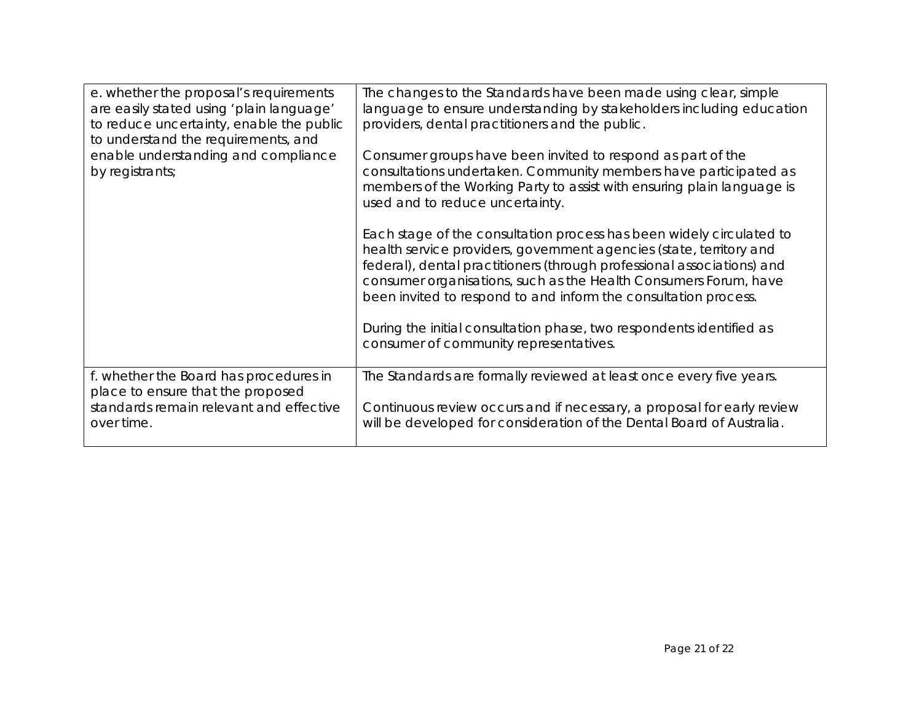| e. whether the proposal's requirements<br>are easily stated using 'plain language'<br>to reduce uncertainty, enable the public<br>to understand the requirements, and<br>enable understanding and compliance<br>by registrants; | The changes to the Standards have been made using clear, simple<br>language to ensure understanding by stakeholders including education<br>providers, dental practitioners and the public.<br>Consumer groups have been invited to respond as part of the<br>consultations undertaken. Community members have participated as<br>members of the Working Party to assist with ensuring plain language is<br>used and to reduce uncertainty.<br>Each stage of the consultation process has been widely circulated to<br>health service providers, government agencies (state, territory and<br>federal), dental practitioners (through professional associations) and<br>consumer organisations, such as the Health Consumers Forum, have<br>been invited to respond to and inform the consultation process.<br>During the initial consultation phase, two respondents identified as |
|---------------------------------------------------------------------------------------------------------------------------------------------------------------------------------------------------------------------------------|------------------------------------------------------------------------------------------------------------------------------------------------------------------------------------------------------------------------------------------------------------------------------------------------------------------------------------------------------------------------------------------------------------------------------------------------------------------------------------------------------------------------------------------------------------------------------------------------------------------------------------------------------------------------------------------------------------------------------------------------------------------------------------------------------------------------------------------------------------------------------------|
|                                                                                                                                                                                                                                 | consumer of community representatives.                                                                                                                                                                                                                                                                                                                                                                                                                                                                                                                                                                                                                                                                                                                                                                                                                                             |
| f. whether the Board has procedures in<br>place to ensure that the proposed<br>standards remain relevant and effective<br>over time.                                                                                            | The Standards are formally reviewed at least once every five years.<br>Continuous review occurs and if necessary, a proposal for early review<br>will be developed for consideration of the Dental Board of Australia.                                                                                                                                                                                                                                                                                                                                                                                                                                                                                                                                                                                                                                                             |